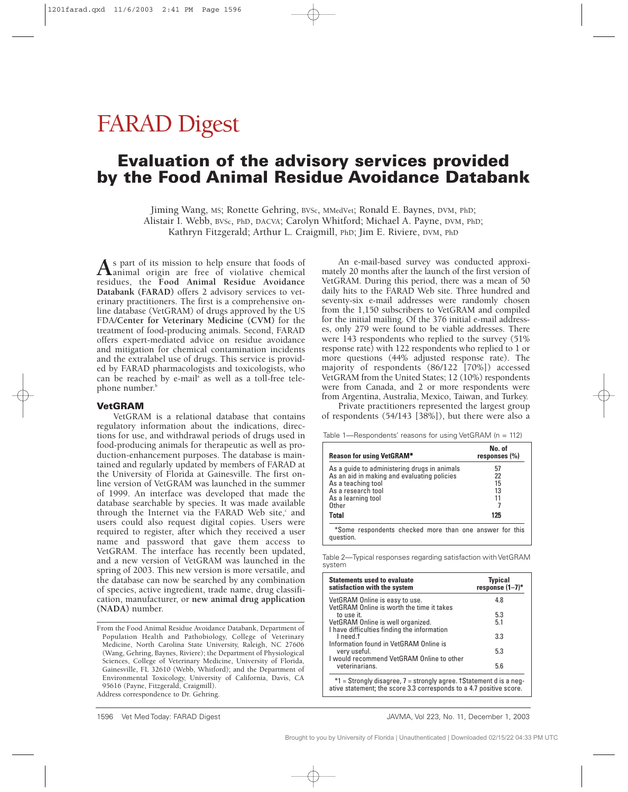# FARAD Digest

### **Evaluation of the advisory services provided by the Food Animal Residue Avoidance Databank**

Jiming Wang, MS; Ronette Gehring, BVSc, MMedVet; Ronald E. Baynes, DVM, PhD; Alistair I. Webb, BVSc, PhD, DACVA; Carolyn Whitford; Michael A. Payne, DVM, PhD; Kathryn Fitzgerald; Arthur L. Craigmill, PhD; Jim E. Riviere, DVM, PhD

As part of its mission to help ensure that foods of<br>
reciduos the East Animal Besiduo Avaidance residues, the **Food Animal Residue Avoidance Databank (FARAD)** offers 2 advisory services to veterinary practitioners. The first is a comprehensive online database (VetGRAM) of drugs approved by the US FDA/**Center for Veterinary Medicine (CVM)** for the treatment of food-producing animals. Second, FARAD offers expert-mediated advice on residue avoidance and mitigation for chemical contamination incidents and the extralabel use of drugs. This service is provided by FARAD pharmacologists and toxicologists, who can be reached by e-mail<sup>a</sup> as well as a toll-free telephone number.<sup>b</sup>

#### **VetGRAM**

VetGRAM is a relational database that contains regulatory information about the indications, directions for use, and withdrawal periods of drugs used in food-producing animals for therapeutic as well as production-enhancement purposes. The database is maintained and regularly updated by members of FARAD at the University of Florida at Gainesville. The first online version of VetGRAM was launched in the summer of 1999. An interface was developed that made the database searchable by species. It was made available through the Internet via the FARAD Web site,<sup>c</sup> and users could also request digital copies. Users were required to register, after which they received a user name and password that gave them access to VetGRAM. The interface has recently been updated, and a new version of VetGRAM was launched in the spring of 2003. This new version is more versatile, and the database can now be searched by any combination of species, active ingredient, trade name, drug classification, manufacturer, or **new animal drug application (NADA)** number.

From the Food Animal Residue Avoidance Databank, Department of Population Health and Pathobiology, College of Veterinary Medicine, North Carolina State University, Raleigh, NC 27606 (Wang, Gehring, Baynes, Riviere); the Department of Physiological Sciences, College of Veterinary Medicine, University of Florida, Gainesville, FL 32610 (Webb, Whitford); and the Department of Environmental Toxicology, University of California, Davis, CA 95616 (Payne, Fitzgerald, Craigmill). Address correspondence to Dr. Gehring.

An e-mail-based survey was conducted approximately 20 months after the launch of the first version of VetGRAM. During this period, there was a mean of 50 daily hits to the FARAD Web site. Three hundred and seventy-six e-mail addresses were randomly chosen from the 1,150 subscribers to VetGRAM and compiled for the initial mailing. Of the 376 initial e-mail addresses, only 279 were found to be viable addresses. There were 143 respondents who replied to the survey (51% response rate) with 122 respondents who replied to 1 or more questions (44% adjusted response rate). The majority of respondents (86/122 [70%]) accessed VetGRAM from the United States; 12 (10%) respondents were from Canada, and 2 or more respondents were from Argentina, Australia, Mexico, Taiwan, and Turkey.

Private practitioners represented the largest group of respondents (54/143 [38%]), but there were also a

Table 1—Respondents' reasons for using VetGRAM (n = 112)

| <b>Reason for using VetGRAM*</b>                        | No. of<br>responses $(\% )$ |
|---------------------------------------------------------|-----------------------------|
| As a quide to administering drugs in animals            | 57                          |
| As an aid in making and evaluating policies             | 22                          |
| As a teaching tool                                      | 15                          |
| As a research tool                                      | 13                          |
| As a learning tool                                      | 11                          |
| Other                                                   |                             |
| Total                                                   | 125                         |
| *Some respondents checked more than one answer for this |                             |

question.

Table 2—Typical responses regarding satisfaction with VetGRAM system

| <b>Statements used to evaluate</b><br>satisfaction with the system               | <b>Typical</b><br>response $(1-7)^*$ |  |
|----------------------------------------------------------------------------------|--------------------------------------|--|
| VetGRAM Online is easy to use.<br>VetGRAM Online is worth the time it takes      | 4.8                                  |  |
| to use it.                                                                       | 5.3                                  |  |
| VetGRAM Online is well organized.<br>I have difficulties finding the information | 5.1                                  |  |
| I need.t<br>Information found in VetGRAM Online is                               | 3.3                                  |  |
| very useful.                                                                     | 5.3                                  |  |
| I would recommend VetGRAM Online to other<br>veterinarians.                      | 5.6                                  |  |
| $*1$ = Strongly disagree, 7 = strongly agree, † Statement d is a neg-            |                                      |  |

\*1 = Strongly disagree, 7 = strongly agree. †Statement d is a negative statement; the score 3.3 corresponds to a 4.7 positive score.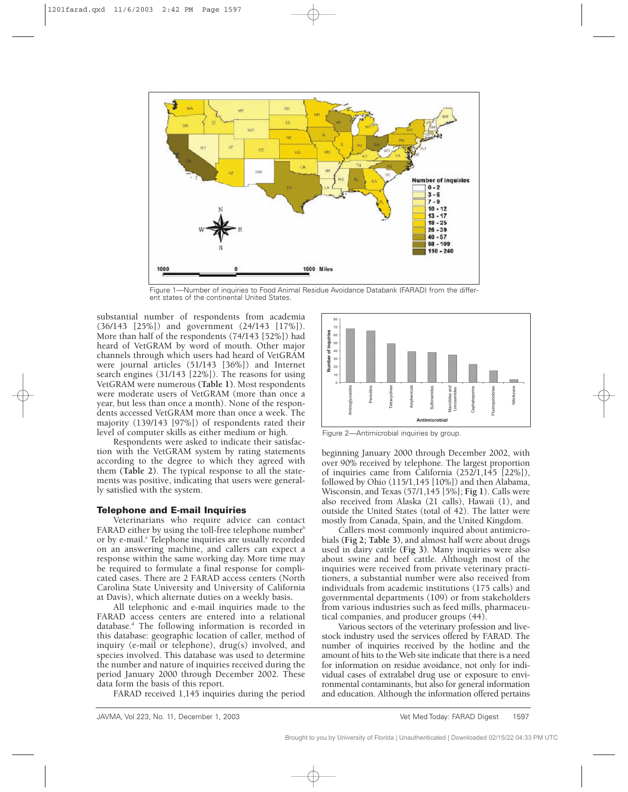

Figure 1—Number of inquiries to Food Animal Residue Avoidance Databank (FARAD) from the different states of the continental United States.

substantial number of respondents from academia (36/143 [25%]) and government (24/143 [17%]). More than half of the respondents (74/143 [52%]) had heard of VetGRAM by word of mouth. Other major channels through which users had heard of VetGRAM were journal articles (51/143 [36%]) and Internet search engines (31/143 [22%]). The reasons for using VetGRAM were numerous **(Table 1)**. Most respondents were moderate users of VetGRAM (more than once a year, but less than once a month). None of the respondents accessed VetGRAM more than once a week. The majority (139/143 [97%]) of respondents rated their level of computer skills as either medium or high.

Respondents were asked to indicate their satisfaction with the VetGRAM system by rating statements according to the degree to which they agreed with them **(Table 2)**. The typical response to all the statements was positive, indicating that users were generally satisfied with the system.

#### **Telephone and E-mail Inquiries**

Veterinarians who require advice can contact FARAD either by using the toll-free telephone number<sup>b</sup> or by e-mail.<sup>4</sup> Telephone inquiries are usually recorded on an answering machine, and callers can expect a response within the same working day. More time may be required to formulate a final response for complicated cases. There are 2 FARAD access centers (North Carolina State University and University of California at Davis), which alternate duties on a weekly basis**.**

All telephonic and e-mail inquiries made to the FARAD access centers are entered into a relational  $database<sup>d</sup>$ . The following information is recorded in this database: geographic location of caller, method of inquiry (e-mail or telephone), drug(s) involved, and species involved. This database was used to determine the number and nature of inquiries received during the period January 2000 through December 2002. These data form the basis of this report.

FARAD received 1,145 inquiries during the period



Figure 2—Antimicrobial inquiries by group.

beginning January 2000 through December 2002, with over 90% received by telephone. The largest proportion of inquiries came from California (252/1,145 [22%]), followed by Ohio (115/1,145 [10%]) and then Alabama, Wisconsin, and Texas (57/1,145 [5%]; **Fig 1**). Calls were also received from Alaska (21 calls), Hawaii (1), and outside the United States (total of 42). The latter were mostly from Canada, Spain, and the United Kingdom.

Callers most commonly inquired about antimicrobials **(Fig 2; Table 3)**, and almost half were about drugs used in dairy cattle **(Fig 3)**. Many inquiries were also about swine and beef cattle. Although most of the inquiries were received from private veterinary practitioners, a substantial number were also received from individuals from academic institutions (175 calls) and governmental departments (109) or from stakeholders from various industries such as feed mills, pharmaceutical companies, and producer groups (44).

Various sectors of the veterinary profession and livestock industry used the services offered by FARAD. The number of inquiries received by the hotline and the amount of hits to the Web site indicate that there is a need for information on residue avoidance, not only for individual cases of extralabel drug use or exposure to environmental contaminants, but also for general information and education. Although the information offered pertains